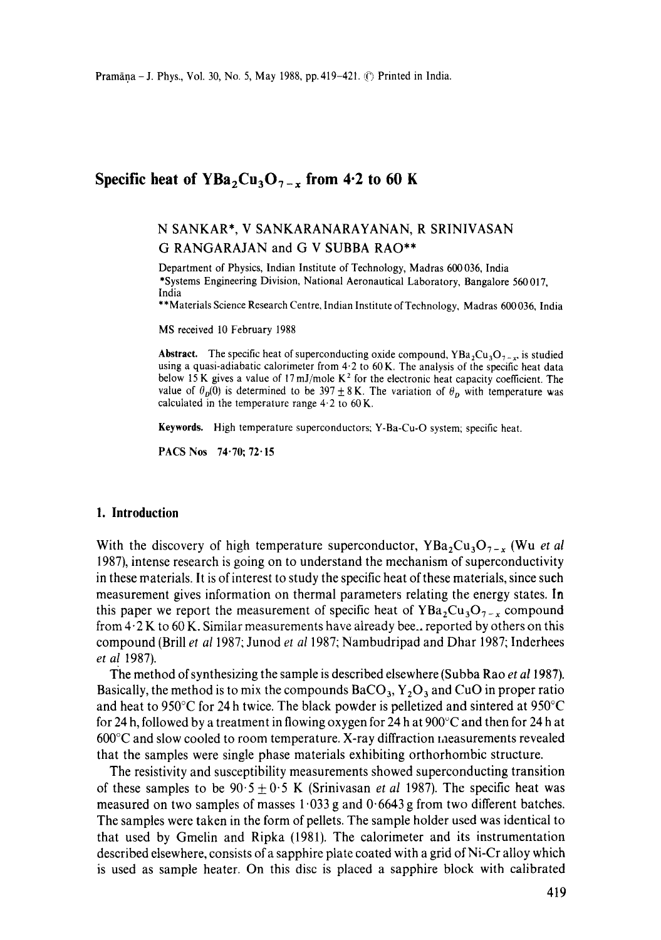## **Specific heat of YBa<sub>2</sub>Cu<sub>3</sub>O<sub>7-x</sub> from 4.2 to 60 K**

# N SANKAR\*, V SANKARANARAYANAN, R SRINIVASAN G RANGARAJAN and G V SUBBA RAO\*\*

Department of Physics, Indian Institute of Technology, Madras 600036, India \*Systems Engineering Division, National Aeronautical Laboratory, Bangalore 560017, India

\*\*Materials Science Research Centre, Indian Institute of Technology, Madras 600036, India

MS received 10 February 1988

**Abstract.** The specific heat of superconducting oxide compound,  $YBa_2Cu_3O_{7-x}$ , is studied using a quasi-adiabatic calorimeter from  $4.2$  to  $60$  K. The analysis of the specific heat data below 15 K gives a value of 17 mJ/mole  $K^2$  for the electronic heat capacity coefficient. The value of  $\theta_p(0)$  is determined to be 397  $\pm 8$  K. The variation of  $\theta_p$  with temperature was calculated in the temperature range  $4.2$  to  $60$  K.

Keywords. High temperature superconductors; Y-Ba-Cu-O system; specific heat.

PACS Nos 74.70; 72-15

#### **1. Introduction**

With the discovery of high temperature superconductor,  $YBa_2Cu_3O_{7-x}$  (Wu *et al* 1987), intense research is going on to understand the mechanism of superconductivity in these materials. It is of interest to study the specific heat of these materials, since such measurement gives information on thermal parameters relating the energy states. In this paper we report the measurement of specific heat of  $YBa_2Cu_3O_{7-x}$  compound from 4- 2 K to 60 K. Similar measurements have already bee.. reported by others on this compound (Brill *et a11987;* Junod *et a11987;* Nambudripad and Dhar 1987; Inderhees *et al* 1987).

The method of synthesizing the sample is described elsewhere (Subba Rao *et a11987).*  Basically, the method is to mix the compounds  $BaCO_3$ ,  $Y_2O_3$  and CuO in proper ratio and heat to 950 $\degree$ C for 24 h twice. The black powder is pelletized and sintered at 950 $\degree$ C for 24 h, followed by a treatment in flowing oxygen for 24 h at  $900^{\circ}$ C and then for 24 h at 600°C and slow cooled to room temperature. X-ray diffraction measurements revealed that the samples were single phase materials exhibiting orthorhombic structure.

The resistivity and susceptibility measurements showed superconducting transition of these samples to be  $90.5 \pm 0.5$  K (Srinivasan *et al* 1987). The specific heat was measured on two samples of masses  $1.033$  g and  $0.6643$  g from two different batches. The samples were taken in the form of pellets. The sample holder used was identical to that used by Gmelin and Ripka (1981). The calorimeter and its instrumentation described elsewhere, consists of a sapphire plate coated with a grid of Ni-Cr alloy which is used as sample heater. On this disc is placed a sapphire block with calibrated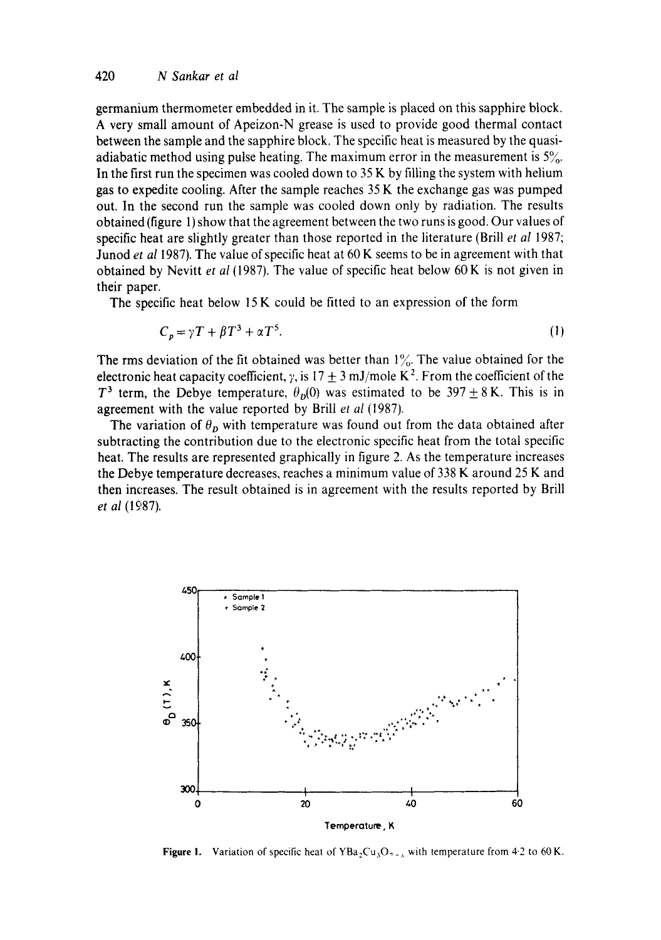germanium thermometer embedded in it. The sample is placed on this sapphire block. A very small amount of Apeizon-N grease is used to provide good thermal contact between the sample and the sapphire block. The specific heat is measured by the quasiadiabatic method using pulse heating. The maximum error in the measurement is  $5\%$ . In the first run the specimen was cooled down to  $35K$  by filling the system with helium gas to expedite cooling. After the sample reaches 35 K the exchange gas was pumped out. In the second run the sample was cooled down only by radiation. The results obtained (figure 1) show that the agreement between the two runs is good. Our values of specific heat are slightly greater than those reported in the literature (Brill *et al* 1987; Junod *et a11987).* The value of specific heat at 60 K seems to be in agreement with that obtained by Nevitt *et al* (1987). The value of specific heat below 60K is not given in their paper.

The specific heat below 15 K could be fitted to an expression of the form

$$
C_p = \gamma T + \beta T^3 + \alpha T^5. \tag{1}
$$

The rms deviation of the fit obtained was better than  $1\%$ . The value obtained for the electronic heat capacity coefficient,  $\gamma$ , is 17  $\pm$  3 mJ/mole K<sup>2</sup>. From the coefficient of the  $T^3$  term, the Debye temperature,  $\theta_D(0)$  was estimated to be 397  $\pm$  8 K. This is in agreement with the value reported by Brill *et al* (1987).

The variation of  $\theta_p$  with temperature was found out from the data obtained after subtracting the contribution due to the electronic specific heat from the total specific heat. The results are represented graphically in figure 2. As the temperature increases the Debye temperature decreases, reaches a minimum value of 338 K around 25 K and then increases. The result obtained is in agreement with the results reported by Brill *et al* (1°87).



Figure 1. Variation of specific heat of  $YBa<sub>2</sub>Cu<sub>3</sub>O<sub>7-x</sub>$  with temperature from 4.2 to 60 K.